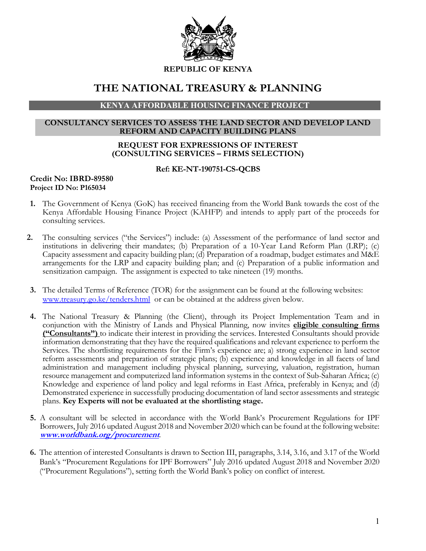

REPUBLIC OF KENYA

# THE NATIONAL TREASURY & PLANNING

# KENYA AFFORDABLE HOUSING FINANCE PROJECT

## CONSULTANCY SERVICES TO ASSESS THE LAND SECTOR AND DEVELOP LAND REFORM AND CAPACITY BUILDING PLANS

#### REQUEST FOR EXPRESSIONS OF INTEREST (CONSULTING SERVICES – FIRMS SELECTION)

#### Ref: KE-NT-190751-CS-QCBS

## Credit No: IBRD-89580 Project ID No: P165034

- 1. The Government of Kenya (GoK) has received financing from the World Bank towards the cost of the Kenya Affordable Housing Finance Project (KAHFP) and intends to apply part of the proceeds for consulting services.
- 2. The consulting services ("the Services") include: (a) Assessment of the performance of land sector and institutions in delivering their mandates; (b) Preparation of a 10-Year Land Reform Plan (LRP); (c) Capacity assessment and capacity building plan; (d) Preparation of a roadmap, budget estimates and M&E arrangements for the LRP and capacity building plan; and (c) Preparation of a public information and sensitization campaign. The assignment is expected to take nineteen (19) months.
- 3. The detailed Terms of Reference (TOR) for the assignment can be found at the following websites: www.treasury.go.ke/tenders.html or can be obtained at the address given below.
- 4. The National Treasury & Planning (the Client), through its Project Implementation Team and in conjunction with the Ministry of Lands and Physical Planning, now invites **eligible consulting firms** ("Consultants") to indicate their interest in providing the services. Interested Consultants should provide information demonstrating that they have the required qualifications and relevant experience to perform the Services. The shortlisting requirements for the Firm's experience are; a) strong experience in land sector reform assessments and preparation of strategic plans; (b) experience and knowledge in all facets of land administration and management including physical planning, surveying, valuation, registration, human resource management and computerized land information systems in the context of Sub-Saharan Africa; (c) Knowledge and experience of land policy and legal reforms in East Africa, preferably in Kenya; and (d) Demonstrated experience in successfully producing documentation of land sector assessments and strategic plans. Key Experts will not be evaluated at the shortlisting stage.
- 5. A consultant will be selected in accordance with the World Bank's Procurement Regulations for IPF Borrowers, July 2016 updated August 2018 and November 2020 which can be found at the following website: www.worldbank.org/procurement.
- 6. The attention of interested Consultants is drawn to Section III, paragraphs, 3.14, 3.16, and 3.17 of the World Bank's "Procurement Regulations for IPF Borrowers" July 2016 updated August 2018 and November 2020 ("Procurement Regulations"), setting forth the World Bank's policy on conflict of interest.